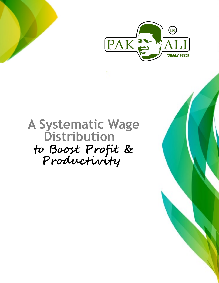

## **Productivity Distribution to Boost Profit & A Systematic Wage**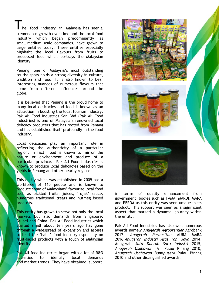he food industry in Malaysia has seen a tremendous growth over time and the local food industry which began predominantly as small-medium scale companies, have grown to large entities today. These entities especially highlight the local flavours from fruits to processed food which portrays the Malaysian identity.

Penang, one of Malaysia's most outstanding tourist spots holds a strong diversity in culture, tradition and food. It is also known to bear interesting nuances of numerous flavours that come from different influences around the globe.

It is believed that Penang is the proud home to many local delicacies and food is known as an attraction in boosting the local tourism industry. Pak Ali Food Industries Sdn Bhd (Pak Ali Food Industries) is one of Malaysia's renowned local delicacy producers that has rooted from Penang and has established itself profoundly in the food industry.

Local delicacies play an important role in reflecting the authenticity of a particular region. In fact, food is known to mirror the nature or environment and produce of a particular province. Pak Ali Food Industries is known to produce local delicacies based on the yields in Penang and other nearby regions.

This entity which was established in 2009 has a workforce of 115 people and is known to produce some of Malaysians' favourite local food such as pickled fruits, juices, 'rojak' sauce, numerous traditional treats and nutmeg based products.

This entity has grown to serve not only the local markets but also demands from Singapore, Brunei and China. Pak Ali Food Industries which started small about ten years ago has gone through a widespread of expansion and aspires to lead the 'halal' food industry especially on fruit-based products with a touch of Malaysian identity.

Pak Ali food Industries began with a lot of R&D activities to identify local demands and market trends. They have obtained support







in terms of quality enhancement from government bodies such as FAMA, MARDI, MARA and PERDA as this entity was seen unique in its product. This support was seen as a significant aspect that marked a dynamic journey within the entity.

Pak Ali Food Industries has also won numerous awards namely *Anugerah Agroprenuer* Agrobank 2017, *Anugerah Peruncitan* AURA MARA 2016,*Anugerah Industri Asas Tani Jaya* 2014, Anugerah *Satu Daerah Satu Industri* 2015, *Anugerah Usahawan* IAT Pulau Pinang 2010, *Anugerah Usahawan Bumiputera* Pulau Pinang 2010 and other distinguished awards.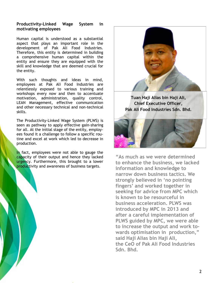## **Productivity-Linked Wage System in motivating employees**

Human capital is understood as a substantial aspect that plays an important role in the development of Pak Ali Food Industries. Therefore, this entity is determined in building a comprehensive human capital within the entity and ensure they are equipped with the skill and knowledge that are deemed crucial for the entity.

With such thoughts and ideas in mind, employees at Pak Ali Food Industries are relentlessly exposed to various training and workshops every now and then to accentuate motivation, administration, quality control, LEAN Management, effective communication and other necessary technical and non-technical skills.

The Productivity-Linked Wage System (PLWS) is seen as pathway to apply effective gain-sharing for all. At the initial stage of the entity, employees found it a challenge to follow a specific routine and excel at work which led to decrease in production.

In fact, employees were not able to gauge the capacity of their output and hence they lacked urgency. Furthermore, this brought to a lower productivity and awareness of business targets.



**Tuan Haji Alias bin Haji Ali, Chief Executive Officer, Pak Ali Food Industries Sdn. Bhd.** 



**"As much as we were determined to enhance the business, we lacked information and knowledge to narrow down business tactics. We strongly believed in 'no pointing fingers' and worked together in seeking for advice from MPC which is known to be resourceful in business acceleration. PLWS was introduced by MPC in 2013 and after a careful implementation of PLWS guided by MPC, we were able to increase the output and work towards optimisation in production," said Haji Alias bin Haji Ali, the CeO of Pak Ali Food Industries Sdn. Bhd.**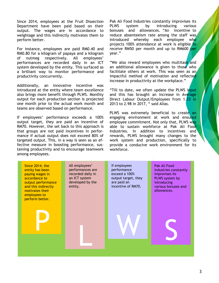Since 2014, employees at the Fruit Dissection Department have been paid based on their output. The wages are in accordance to weightage and this indirectly motivates them to perform better.

For instance, employees are paid RM0.40 and RM0.80 for a kilogram of papaya and a kilogram of nutmeg respectively. All employees' performances are recorded daily in an ICT system developed by the entity. This surfaced as a brilliant way to monitor performance and productivity concurrently.

Additionally, an innovative incentive was introduced at the entity where team excellence also brings more benefit through PLWS. Monthly output for each production section is projected one month prior to the actual work month and teams are observed based on performance.

If employees' performance exceeds a 100% output target, they are paid an incentive of RM70. However, the set back to this approach is that groups are not paid incentives in performance if actual output does not exceed 80% of targeted output. This, in a way is seen as an effective measure in boosting performance, sustaining productivity and to encourage teamwork among employees.

Pak Ali Food Industries constantly improvises its PLWS system by introducing various bonuses and allowances. "An incentive to reduce absenteeism rate among the staff was introduced whereby each employee who projects 100% attendance at work is eligible to receive RM50 per month and up to RM600 per year."

"We also reward employees who multitask and an additional allowance is given to those who facilitate others at work. This was seen as an impactful method of motivation and reflected increase in productivity at the workplace."

"Till to date, we often update the PLWS input and this has brought an increase in Average Direct Labour Output/Employees from 1.33 in 2013 to 2.98 in 2017, " said Alias.

PLWS was extremely beneficial to create an engaging environment at work and ensured employee commitment. Not only that, PLWS was able to sustain workforce at Pak Ali Food Industries. In addition to incentives and rewards, PLWS brought many changes to the work system and production, specifically to provide a conducive work environment for its workforce.